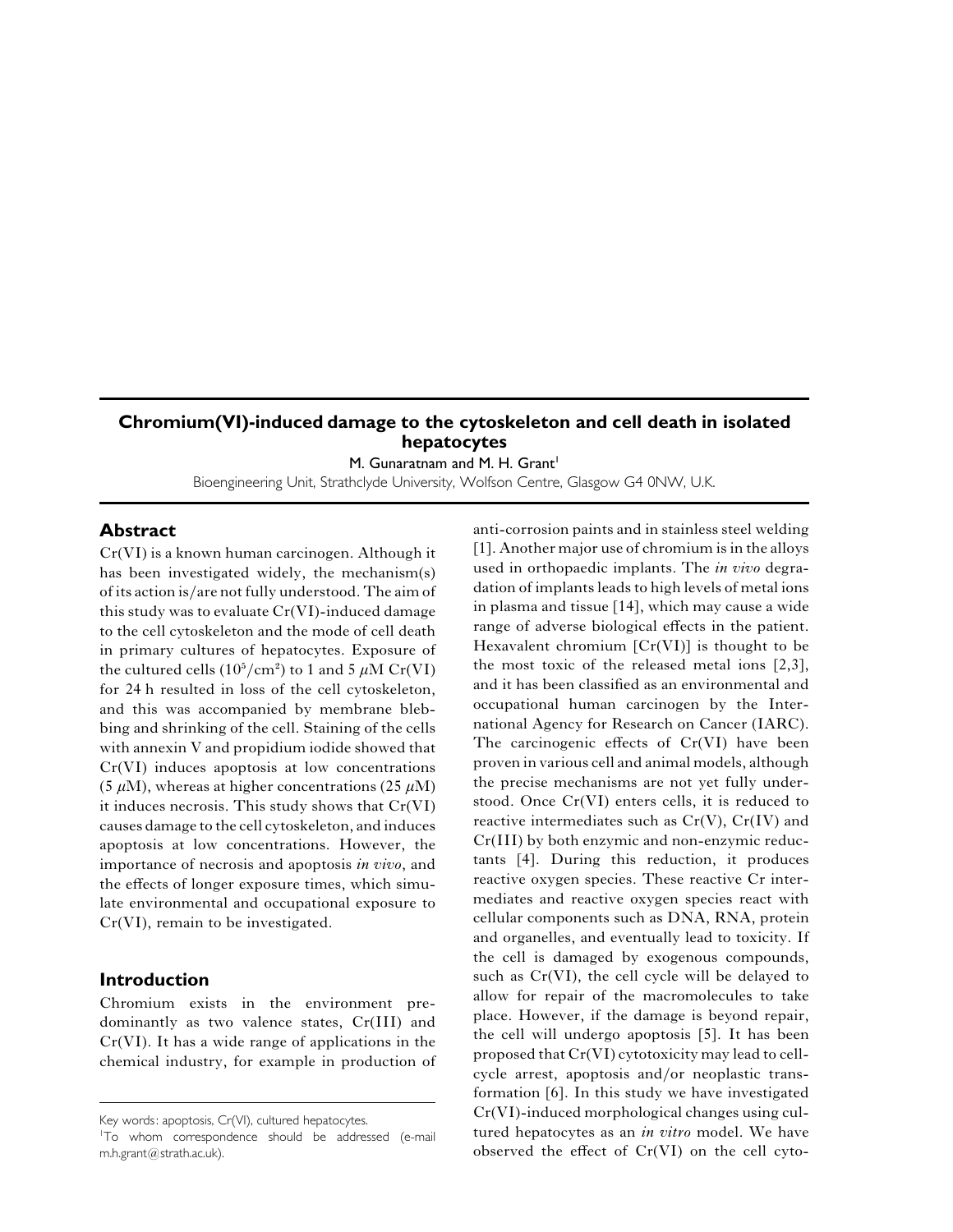# **Chromium(VI)-induced damage to the cytoskeleton and cell death in isolated hepatocytes**

M. Gunaratnam and M. H. Grant<sup>1</sup>

Bioengineering Unit, Strathclyde University, Wolfson Centre, Glasgow G4 0NW, U.K.

#### **Abstract**

Cr(VI) is a known human carcinogen. Although it has been investigated widely, the mechanism(s) ofits action is}arenot fully understood.The aim of this study was to evaluate Cr(VI)-induced damage to the cell cytoskeleton and the mode of cell death in primary cultures of hepatocytes. Exposure of the cultured cells  $(10^5/cm^2)$  to 1 and 5  $\mu$ M Cr(VI) for 24 h resulted in loss of the cell cytoskeleton, and this was accompanied by membrane blebbing and shrinking of the cell. Staining of the cells with annexin V and propidium iodide showed that Cr(VI) induces apoptosis at low concentrations (5  $\mu$ M), whereas at higher concentrations (25  $\mu$ M) it induces necrosis. This study shows that Cr(VI) causes damage to the cell cytoskeleton, and induces apoptosis at low concentrations. However, the importance of necrosis and apoptosis *in vivo*, and the effects of longer exposure times, which simulate environmental and occupational exposure to Cr(VI), remain to be investigated.

## **Introduction**

Chromium exists in the environment predominantly as two valence states, Cr(III) and Cr(VI). It has a wide range of applications in the chemical industry, for example in production of anti-corrosion paints and in stainless steel welding [1]. Another major use of chromium is in the alloys used in orthopaedic implants. The *in vivo* degradation of implants leads to high levels of metal ions in plasma and tissue [14], which may cause a wide range of adverse biological effects in the patient. Hexavalent chromium  $[Cr(VI)]$  is thought to be the most toxic of the released metal ions [2,3], and it has been classified as an environmental and occupational human carcinogen by the International Agency for Research on Cancer (IARC). The carcinogenic effects of Cr(VI) have been proven in various cell and animal models, although the precise mechanisms are not yet fully understood. Once Cr(VI) enters cells, it is reduced to reactive intermediates such as  $Cr(V)$ ,  $Cr(IV)$  and Cr(III) by both enzymic and non-enzymic reductants [4]. During this reduction, it produces reactive oxygen species. These reactive Cr intermediates and reactive oxygen species react with cellular components such as DNA, RNA, protein and organelles, and eventually lead to toxicity. If the cell is damaged by exogenous compounds, such as Cr(VI), the cell cycle will be delayed to allow for repair of the macromolecules to take place. However, if the damage is beyond repair, the cell will undergo apoptosis [5]. It has been proposed that Cr(VI) cytotoxicity may lead to cellcycle arrest, apoptosis and/or neoplastic transformation [6]. In this study we have investigated Cr(VI)-induced morphological changes using cultured hepatocytes as an *in vitro* model. We have observed the effect of Cr(VI) on the cell cyto-

Key words: apoptosis, Cr(VI), cultured hepatocytes.

<sup>&</sup>lt;sup>1</sup>To whom correspondence should be addressed (e-mail  $m.h.$ grant $@$ strath.ac.uk).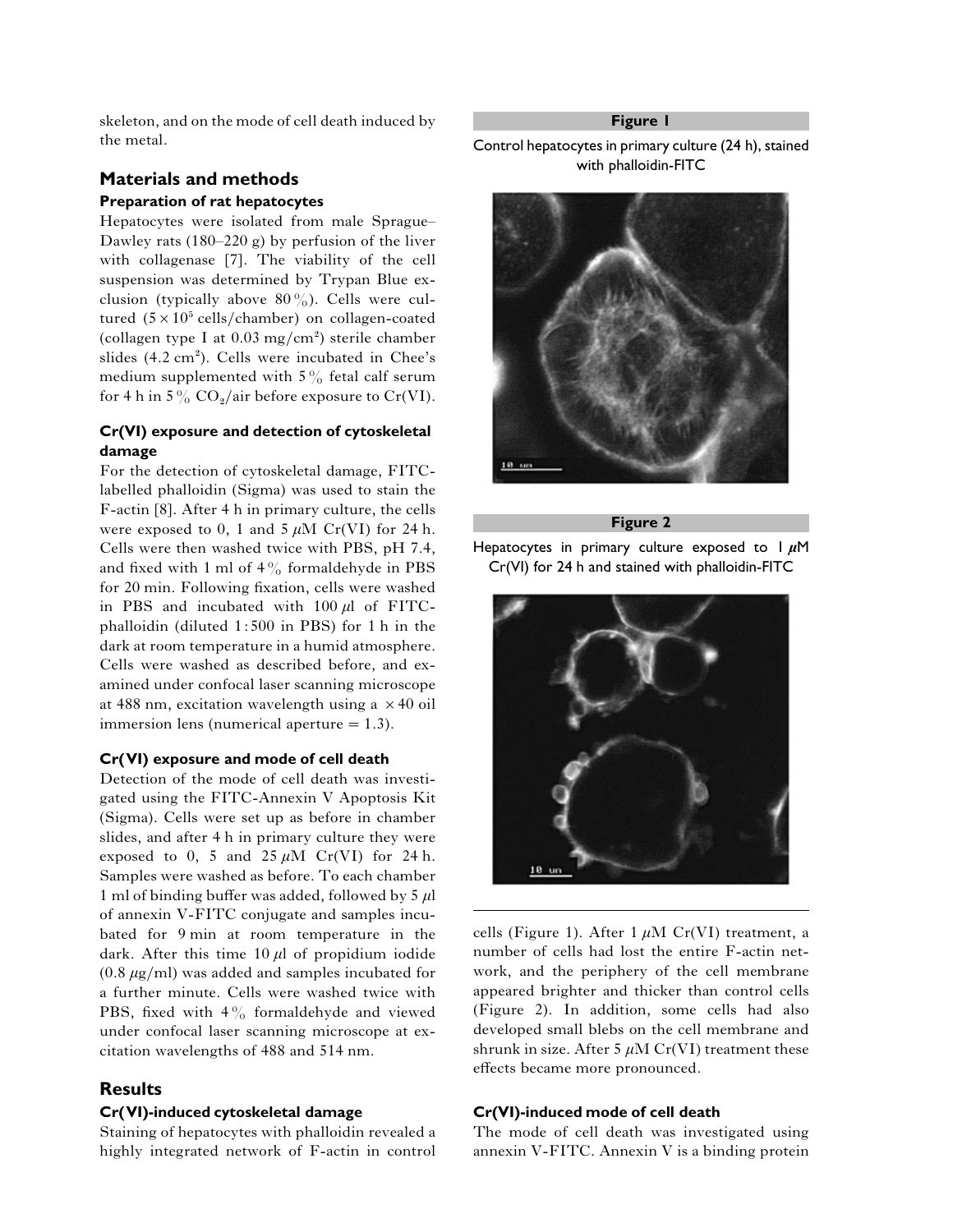skeleton, and on the mode of cell death induced by the metal.

## **Materials and methods Preparation of rat hepatocytes**

Hepatocytes were isolated from male Sprague– Dawley rats  $(180-220 \text{ g})$  by perfusion of the liver with collagenase [7]. The viability of the cell suspension was determined by Trypan Blue exclusion (typically above  $80\%$ ). Cells were cultured  $(5 \times 10^5 \text{ cells}/\text{chamber})$  on collagen-coated (collagen type I at  $0.03 \text{ mg/cm}^2$ ) sterile chamber slides  $(4.2 \text{ cm}^2)$ . Cells were incubated in Chee's medium supplemented with  $5\%$  fetal calf serum for 4 h in 5%  $\text{CO}_2/\text{air}$  before exposure to Cr(VI).

## **Cr(VI) exposure and detection of cytoskeletal damage**

For the detection of cytoskeletal damage, FITClabelled phalloidin (Sigma) was used to stain the F-actin [8]. After 4 h in primary culture, the cells were exposed to 0, 1 and  $5 \mu M$  Cr(VI) for 24 h. Cells were then washed twice with PBS, pH 7.4, and fixed with 1 ml of  $4\%$  formaldehyde in PBS for 20 min. Following fixation, cells were washed in PBS and incubated with  $100 \mu l$  of FITCphalloidin (diluted 1:500 in PBS) for 1 h in the dark at room temperature in a humid atmosphere. Cells were washed as described before, and examined under confocal laser scanning microscope at 488 nm, excitation wavelength using a  $\times$  40 oil immersion lens (numerical aperture  $=1.3$ ).

#### **Cr(VI) exposure and mode of cell death**

Detection of the mode of cell death was investigated using the FITC-Annexin V Apoptosis Kit (Sigma). Cells were set up as before in chamber slides, and after 4 h in primary culture they were exposed to 0, 5 and  $25 \mu M$  Cr(VI) for 24 h. Samples were washed as before. To each chamber 1 ml of binding buffer was added, followed by 5  $\mu$ l of annexin V-FITC conjugate and samples incubated for 9 min at room temperature in the dark. After this time  $10 \mu l$  of propidium iodide  $(0.8 \ \mu g/ml)$  was added and samples incubated for a further minute. Cells were washed twice with PBS, fixed with  $4\frac{9}{9}$  formaldehyde and viewed under confocal laser scanning microscope at excitation wavelengths of 488 and 514 nm.

## **Results**

#### **Cr(VI)-induced cytoskeletal damage**

Staining of hepatocytes with phalloidin revealed a highly integrated network of F-actin in control **Figure 1**

Control hepatocytes in primary culture (24 h), stained with phalloidin-FITC



**Figure 2**





cells (Figure 1). After 1  $\mu$ M Cr(VI) treatment, a number of cells had lost the entire F-actin network, and the periphery of the cell membrane appeared brighter and thicker than control cells (Figure 2). In addition, some cells had also developed small blebs on the cell membrane and shrunk in size. After 5  $\mu$ M Cr(VI) treatment these effects became more pronounced.

#### **Cr(VI)-induced mode of cell death**

The mode of cell death was investigated using annexin V-FITC. Annexin V is a binding protein